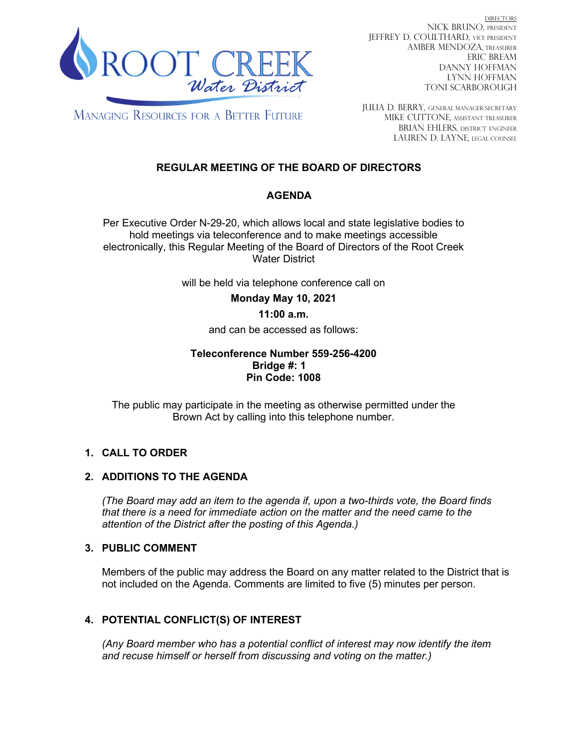

DIRECTORS NICK BRUNO, PRESIDENT JEFFREY D. COULTHARD, Vice President AMBER MENDOZA, TREASURER ERIC BREAM DANNY HOFFMAN LYNN HOFFMAN TONI SCARBOROUGH

**MANAGING RESOURCES FOR A BETTER FUTURE** 

JULIA D. BERRY, GENERAL MANAGER/secretary MIKE CUTTONE, Assistant treasurer BRIAN EHLERS, DISTRICT ENGINEER LAUREN D. LAYNE, LEGAL COUNSEL

# **REGULAR MEETING OF THE BOARD OF DIRECTORS**

# **AGENDA**

Per Executive Order N-29-20, which allows local and state legislative bodies to hold meetings via teleconference and to make meetings accessible electronically, this Regular Meeting of the Board of Directors of the Root Creek Water District

will be held via telephone conference call on

**Monday May 10, 2021**

## **11:00 a.m.**

and can be accessed as follows:

#### **Teleconference Number 559-256-4200 Bridge #: 1 Pin Code: 1008**

The public may participate in the meeting as otherwise permitted under the Brown Act by calling into this telephone number.

# **1. CALL TO ORDER**

## **2. ADDITIONS TO THE AGENDA**

*(The Board may add an item to the agenda if, upon a two-thirds vote, the Board finds that there is a need for immediate action on the matter and the need came to the attention of the District after the posting of this Agenda.)*

## **3. PUBLIC COMMENT**

Members of the public may address the Board on any matter related to the District that is not included on the Agenda. Comments are limited to five (5) minutes per person.

# **4. POTENTIAL CONFLICT(S) OF INTEREST**

*(Any Board member who has a potential conflict of interest may now identify the item and recuse himself or herself from discussing and voting on the matter.)*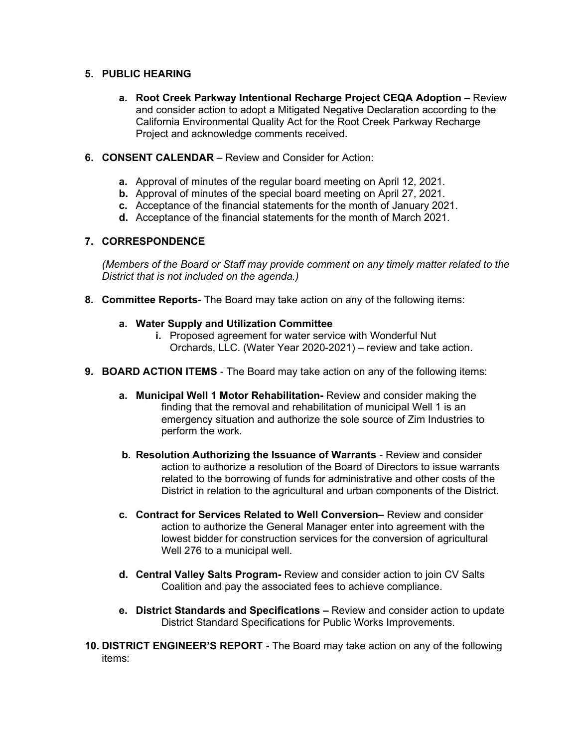## **5. PUBLIC HEARING**

- **a. Root Creek Parkway Intentional Recharge Project CEQA Adoption –** Review and consider action to adopt a Mitigated Negative Declaration according to the California Environmental Quality Act for the Root Creek Parkway Recharge Project and acknowledge comments received.
- **6. CONSENT CALENDAR**  Review and Consider for Action:
	- **a.** Approval of minutes of the regular board meeting on April 12, 2021.
	- **b.** Approval of minutes of the special board meeting on April 27, 2021.
	- **c.** Acceptance of the financial statements for the month of January 2021.
	- **d.** Acceptance of the financial statements for the month of March 2021.

## **7. CORRESPONDENCE**

*(Members of the Board or Staff may provide comment on any timely matter related to the District that is not included on the agenda.)*

**8. Committee Reports**- The Board may take action on any of the following items:

#### **a. Water Supply and Utilization Committee**

- **i.** Proposed agreement for water service with Wonderful Nut Orchards, LLC. (Water Year 2020-2021) – review and take action.
- **9. BOARD ACTION ITEMS**  The Board may take action on any of the following items:
	- **a. Municipal Well 1 Motor Rehabilitation-** Review and consider making the finding that the removal and rehabilitation of municipal Well 1 is an emergency situation and authorize the sole source of Zim Industries to perform the work.
	- **b. Resolution Authorizing the Issuance of Warrants** Review and consider action to authorize a resolution of the Board of Directors to issue warrants related to the borrowing of funds for administrative and other costs of the District in relation to the agricultural and urban components of the District.
	- **c. Contract for Services Related to Well Conversion–** Review and consider action to authorize the General Manager enter into agreement with the lowest bidder for construction services for the conversion of agricultural Well 276 to a municipal well.
	- **d. Central Valley Salts Program-** Review and consider action to join CV Salts Coalition and pay the associated fees to achieve compliance.
	- **e. District Standards and Specifications –** Review and consider action to update District Standard Specifications for Public Works Improvements.
- **10. DISTRICT ENGINEER'S REPORT -** The Board may take action on any of the following items: